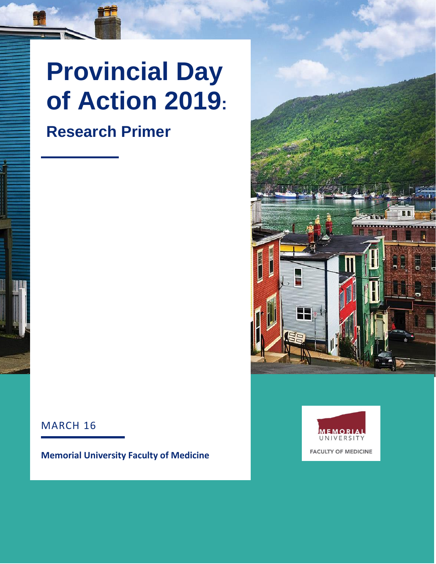# **Provincial Day of Action 2019:**

### **Research Primer**





#### MARCH 16

**Memorial University Faculty of Medicine**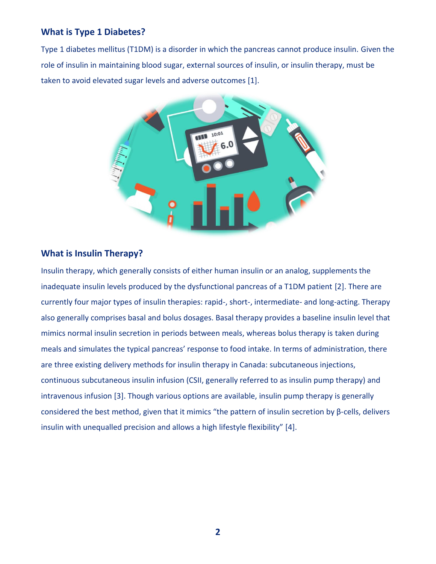#### **What is Type 1 Diabetes?**

Type 1 diabetes mellitus (T1DM) is a disorder in which the pancreas cannot produce insulin. Given the role of insulin in maintaining blood sugar, external sources of insulin, or insulin therapy, must be taken to avoid elevated sugar levels and adverse outcomes [1].



#### **What is Insulin Therapy?**

Insulin therapy, which generally consists of either human insulin or an analog, supplements the inadequate insulin levels produced by the dysfunctional pancreas of a T1DM patient [2]. There are currently four major types of insulin therapies: rapid-, short-, intermediate- and long-acting. Therapy also generally comprises basal and bolus dosages. Basal therapy provides a baseline insulin level that mimics normal insulin secretion in periods between meals, whereas bolus therapy is taken during meals and simulates the typical pancreas' response to food intake. In terms of administration, there are three existing delivery methods for insulin therapy in Canada: subcutaneous injections, continuous subcutaneous insulin infusion (CSII, generally referred to as insulin pump therapy) and intravenous infusion [3]. Though various options are available, insulin pump therapy is generally considered the best method, given that it mimics "the pattern of insulin secretion by β-cells, delivers insulin with unequalled precision and allows a high lifestyle flexibility" [4].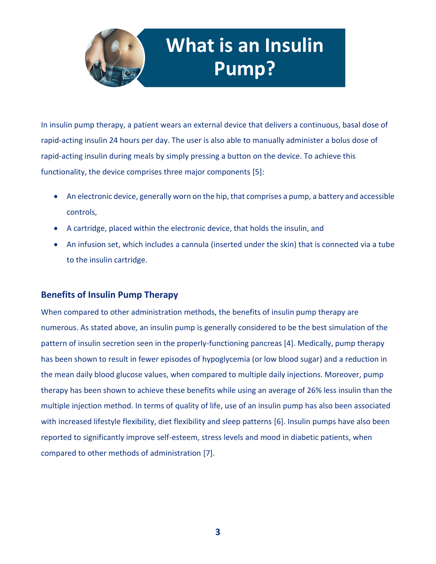

## **What is an Insulin Pump?**

In insulin pump therapy, a patient wears an external device that delivers a continuous, basal dose of rapid-acting insulin 24 hours per day. The user is also able to manually administer a bolus dose of rapid-acting insulin during meals by simply pressing a button on the device. To achieve this functionality, the device comprises three major components [5]:

- An electronic device, generally worn on the hip, that comprises a pump, a battery and accessible controls,
- A cartridge, placed within the electronic device, that holds the insulin, and
- An infusion set, which includes a cannula (inserted under the skin) that is connected via a tube to the insulin cartridge.

#### **Benefits of Insulin Pump Therapy**

When compared to other administration methods, the benefits of insulin pump therapy are numerous. As stated above, an insulin pump is generally considered to be the best simulation of the pattern of insulin secretion seen in the properly-functioning pancreas [4]. Medically, pump therapy has been shown to result in fewer episodes of hypoglycemia (or low blood sugar) and a reduction in the mean daily blood glucose values, when compared to multiple daily injections. Moreover, pump therapy has been shown to achieve these benefits while using an average of 26% less insulin than the multiple injection method. In terms of quality of life, use of an insulin pump has also been associated with increased lifestyle flexibility, diet flexibility and sleep patterns [6]. Insulin pumps have also been reported to significantly improve self-esteem, stress levels and mood in diabetic patients, when compared to other methods of administration [7].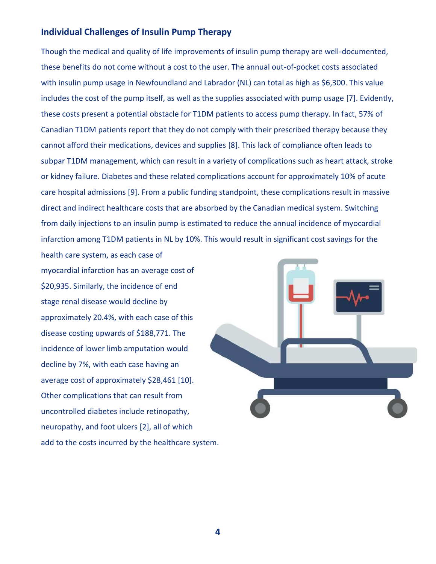#### **Individual Challenges of Insulin Pump Therapy**

Though the medical and quality of life improvements of insulin pump therapy are well-documented, these benefits do not come without a cost to the user. The annual out-of-pocket costs associated with insulin pump usage in Newfoundland and Labrador (NL) can total as high as \$6,300. This value includes the cost of the pump itself, as well as the supplies associated with pump usage [7]. Evidently, these costs present a potential obstacle for T1DM patients to access pump therapy. In fact, 57% of Canadian T1DM patients report that they do not comply with their prescribed therapy because they cannot afford their medications, devices and supplies [8]. This lack of compliance often leads to subpar T1DM management, which can result in a variety of complications such as heart attack, stroke or kidney failure. Diabetes and these related complications account for approximately 10% of acute care hospital admissions [9]. From a public funding standpoint, these complications result in massive direct and indirect healthcare costs that are absorbed by the Canadian medical system. Switching from daily injections to an insulin pump is estimated to reduce the annual incidence of myocardial infarction among T1DM patients in NL by 10%. This would result in significant cost savings for the

myocardial infarction has an average cost of \$20,935. Similarly, the incidence of end stage renal disease would decline by approximately 20.4%, with each case of this disease costing upwards of \$188,771. The incidence of lower limb amputation would decline by 7%, with each case having an average cost of approximately \$28,461 [10]. Other complications that can result from uncontrolled diabetes include retinopathy, neuropathy, and foot ulcers [2], all of which add to the costs incurred by the healthcare system.

health care system, as each case of

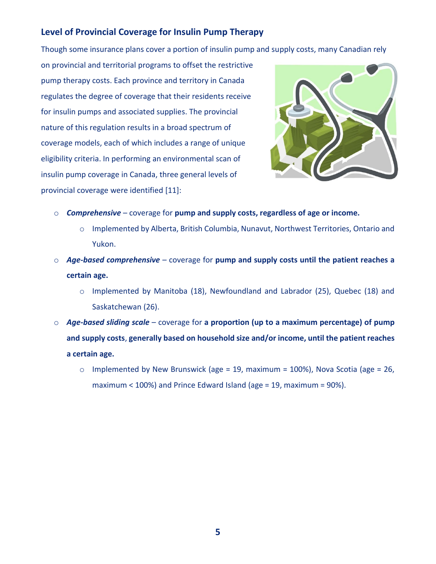#### **Level of Provincial Coverage for Insulin Pump Therapy**

Though some insurance plans cover a portion of insulin pump and supply costs, many Canadian rely

on provincial and territorial programs to offset the restrictive pump therapy costs. Each province and territory in Canada regulates the degree of coverage that their residents receive for insulin pumps and associated supplies. The provincial nature of this regulation results in a broad spectrum of coverage models, each of which includes a range of unique eligibility criteria. In performing an environmental scan of insulin pump coverage in Canada, three general levels of provincial coverage were identified [11]:



- o *Comprehensive* coverage for **pump and supply costs, regardless of age or income.** 
	- o Implemented by Alberta, British Columbia, Nunavut, Northwest Territories, Ontario and Yukon.
- o *Age-based comprehensive*  coverage for **pump and supply costs until the patient reaches a certain age.**
	- o Implemented by Manitoba (18), Newfoundland and Labrador (25), Quebec (18) and Saskatchewan (26).
- o *Age-based sliding scale* coverage for **a proportion (up to a maximum percentage) of pump and supply costs**, **generally based on household size and/or income, until the patient reaches a certain age.**
	- $\circ$  Implemented by New Brunswick (age = 19, maximum = 100%), Nova Scotia (age = 26, maximum < 100%) and Prince Edward Island (age = 19, maximum = 90%).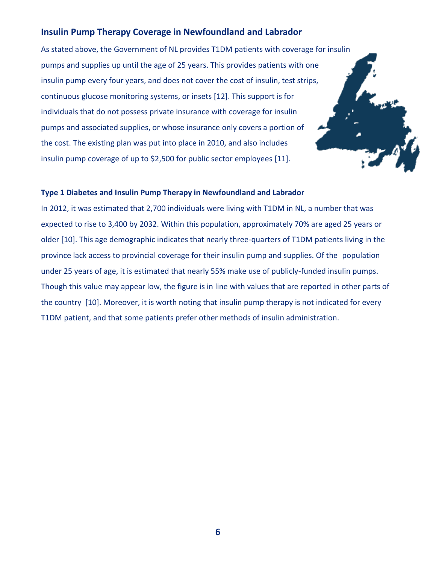#### **Insulin Pump Therapy Coverage in Newfoundland and Labrador**

As stated above, the Government of NL provides T1DM patients with coverage for insulin pumps and supplies up until the age of 25 years. This provides patients with one insulin pump every four years, and does not cover the cost of insulin, test strips, continuous glucose monitoring systems, or insets [12]. This support is for individuals that do not possess private insurance with coverage for insulin pumps and associated supplies, or whose insurance only covers a portion of the cost. The existing plan was put into place in 2010, and also includes insulin pump coverage of up to \$2,500 for public sector employees [11].

#### **Type 1 Diabetes and Insulin Pump Therapy in Newfoundland and Labrador**

In 2012, it was estimated that 2,700 individuals were living with T1DM in NL, a number that was expected to rise to 3,400 by 2032. Within this population, approximately 70% are aged 25 years or older [10]. This age demographic indicates that nearly three-quarters of T1DM patients living in the province lack access to provincial coverage for their insulin pump and supplies. Of the population under 25 years of age, it is estimated that nearly 55% make use of publicly-funded insulin pumps. Though this value may appear low, the figure is in line with values that are reported in other parts of the country [10]. Moreover, it is worth noting that insulin pump therapy is not indicated for every T1DM patient, and that some patients prefer other methods of insulin administration.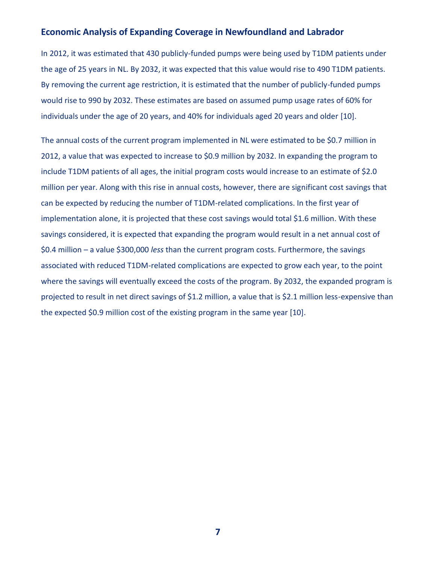#### **Economic Analysis of Expanding Coverage in Newfoundland and Labrador**

In 2012, it was estimated that 430 publicly-funded pumps were being used by T1DM patients under the age of 25 years in NL. By 2032, it was expected that this value would rise to 490 T1DM patients. By removing the current age restriction, it is estimated that the number of publicly-funded pumps would rise to 990 by 2032. These estimates are based on assumed pump usage rates of 60% for individuals under the age of 20 years, and 40% for individuals aged 20 years and older [10].

The annual costs of the current program implemented in NL were estimated to be \$0.7 million in 2012, a value that was expected to increase to \$0.9 million by 2032. In expanding the program to include T1DM patients of all ages, the initial program costs would increase to an estimate of \$2.0 million per year. Along with this rise in annual costs, however, there are significant cost savings that can be expected by reducing the number of T1DM-related complications. In the first year of implementation alone, it is projected that these cost savings would total \$1.6 million. With these savings considered, it is expected that expanding the program would result in a net annual cost of \$0.4 million – a value \$300,000 *less* than the current program costs. Furthermore, the savings associated with reduced T1DM-related complications are expected to grow each year, to the point where the savings will eventually exceed the costs of the program. By 2032, the expanded program is projected to result in net direct savings of \$1.2 million, a value that is \$2.1 million less-expensive than the expected \$0.9 million cost of the existing program in the same year [10].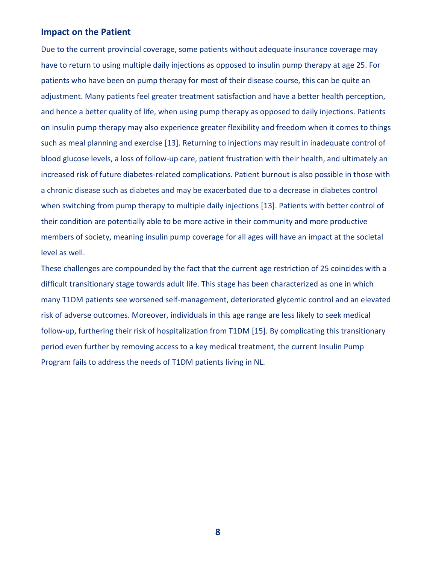#### **Impact on the Patient**

Due to the current provincial coverage, some patients without adequate insurance coverage may have to return to using multiple daily injections as opposed to insulin pump therapy at age 25. For patients who have been on pump therapy for most of their disease course, this can be quite an adjustment. Many patients feel greater treatment satisfaction and have a better health perception, and hence a better quality of life, when using pump therapy as opposed to daily injections. Patients on insulin pump therapy may also experience greater flexibility and freedom when it comes to things such as meal planning and exercise [13]. Returning to injections may result in inadequate control of blood glucose levels, a loss of follow-up care, patient frustration with their health, and ultimately an increased risk of future diabetes-related complications. Patient burnout is also possible in those with a chronic disease such as diabetes and may be exacerbated due to a decrease in diabetes control when switching from pump therapy to multiple daily injections [13]. Patients with better control of their condition are potentially able to be more active in their community and more productive members of society, meaning insulin pump coverage for all ages will have an impact at the societal level as well.

These challenges are compounded by the fact that the current age restriction of 25 coincides with a difficult transitionary stage towards adult life. This stage has been characterized as one in which many T1DM patients see worsened self-management, deteriorated glycemic control and an elevated risk of adverse outcomes. Moreover, individuals in this age range are less likely to seek medical follow-up, furthering their risk of hospitalization from T1DM [15]. By complicating this transitionary period even further by removing access to a key medical treatment, the current Insulin Pump Program fails to address the needs of T1DM patients living in NL.

**8**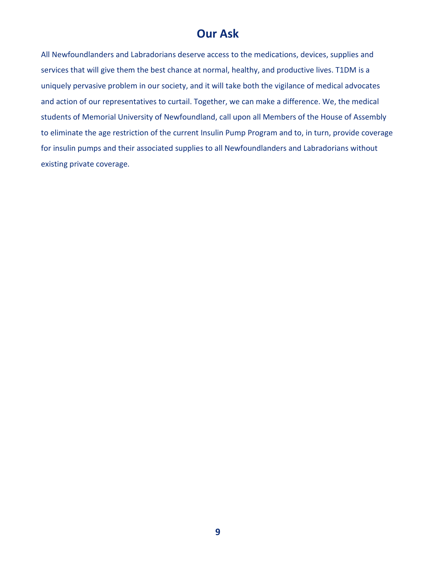#### **Our Ask**

All Newfoundlanders and Labradorians deserve access to the medications, devices, supplies and services that will give them the best chance at normal, healthy, and productive lives. T1DM is a uniquely pervasive problem in our society, and it will take both the vigilance of medical advocates and action of our representatives to curtail. Together, we can make a difference. We, the medical students of Memorial University of Newfoundland, call upon all Members of the House of Assembly to eliminate the age restriction of the current Insulin Pump Program and to, in turn, provide coverage for insulin pumps and their associated supplies to all Newfoundlanders and Labradorians without existing private coverage.